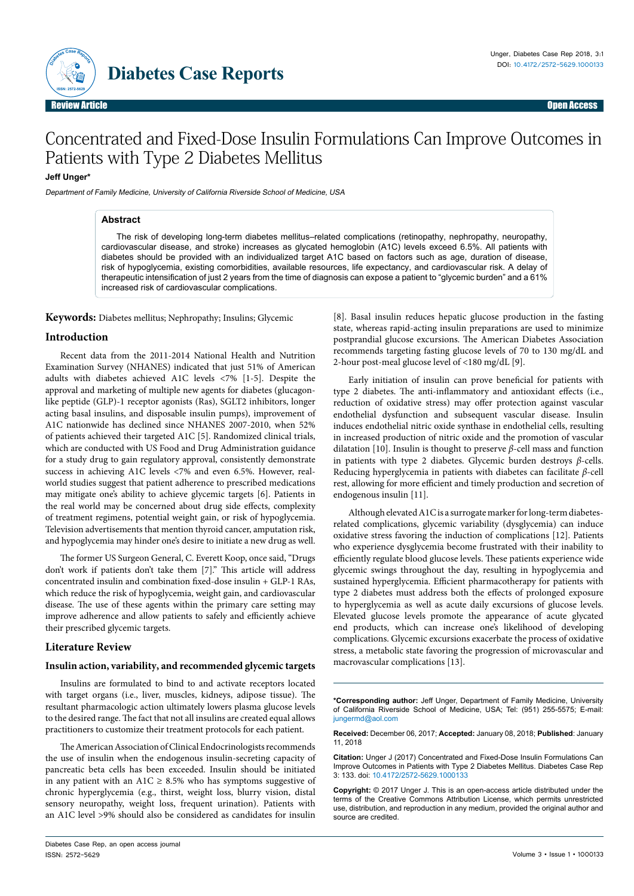

# Concentrated and Fixed-Dose Insulin Formulations Can Improve Outcomes in Patients with Type 2 Diabetes Mellitus

# **Jeff Unger\***

Department of Family Medicine, University of California Riverside School of Medicine, USA

#### **Abstract**

The risk of developing long-term diabetes mellitus–related complications (retinopathy, nephropathy, neuropathy, cardiovascular disease, and stroke) increases as glycated hemoglobin (A1C) levels exceed 6.5%. All patients with diabetes should be provided with an individualized target A1C based on factors such as age, duration of disease, risk of hypoglycemia, existing comorbidities, available resources, life expectancy, and cardiovascular risk. A delay of therapeutic intensification of just 2 years from the time of diagnosis can expose a patient to "glycemic burden" and a 61% increased risk of cardiovascular complications.

**Keywords:** Diabetes mellitus; Nephropathy; Insulins; Glycemic

## **Introduction**

Recent data from the 2011-2014 National Health and Nutrition Examination Survey (NHANES) indicated that just 51% of American adults with diabetes achieved A1C levels <7% [1-5]. Despite the approval and marketing of multiple new agents for diabetes (glucagonlike peptide (GLP)-1 receptor agonists (Ras), SGLT2 inhibitors, longer acting basal insulins, and disposable insulin pumps), improvement of A1C nationwide has declined since NHANES 2007-2010, when 52% of patients achieved their targeted A1C [5]. Randomized clinical trials, which are conducted with US Food and Drug Administration guidance for a study drug to gain regulatory approval, consistently demonstrate success in achieving A1C levels <7% and even 6.5%. However, realworld studies suggest that patient adherence to prescribed medications may mitigate one's ability to achieve glycemic targets [6]. Patients in the real world may be concerned about drug side effects, complexity of treatment regimens, potential weight gain, or risk of hypoglycemia. Television advertisements that mention thyroid cancer, amputation risk, and hypoglycemia may hinder one's desire to initiate a new drug as well.

The former US Surgeon General, C. Everett Koop, once said, "Drugs don't work if patients don't take them [7]." This article will address concentrated insulin and combination fixed-dose insulin + GLP-1 RAs, which reduce the risk of hypoglycemia, weight gain, and cardiovascular disease. The use of these agents within the primary care setting may improve adherence and allow patients to safely and efficiently achieve their prescribed glycemic targets.

## **Literature Review**

## **Insulin action, variability, and recommended glycemic targets**

Insulins are formulated to bind to and activate receptors located with target organs (i.e., liver, muscles, kidneys, adipose tissue). The resultant pharmacologic action ultimately lowers plasma glucose levels to the desired range. The fact that not all insulins are created equal allows practitioners to customize their treatment protocols for each patient.

The American Association of Clinical Endocrinologists recommends the use of insulin when the endogenous insulin-secreting capacity of pancreatic beta cells has been exceeded. Insulin should be initiated in any patient with an A1C  $\geq$  8.5% who has symptoms suggestive of chronic hyperglycemia (e.g., thirst, weight loss, blurry vision, distal sensory neuropathy, weight loss, frequent urination). Patients with an A1C level >9% should also be considered as candidates for insulin

[8]. Basal insulin reduces hepatic glucose production in the fasting state, whereas rapid-acting insulin preparations are used to minimize postprandial glucose excursions. The American Diabetes Association recommends targeting fasting glucose levels of 70 to 130 mg/dL and 2-hour post-meal glucose level of <180 mg/dL [9].

Early initiation of insulin can prove beneficial for patients with type 2 diabetes. The anti-inflammatory and antioxidant effects (i.e., reduction of oxidative stress) may offer protection against vascular endothelial dysfunction and subsequent vascular disease. Insulin induces endothelial nitric oxide synthase in endothelial cells, resulting in increased production of nitric oxide and the promotion of vascular dilatation [10]. Insulin is thought to preserve *β*-cell mass and function in patients with type 2 diabetes. Glycemic burden destroys *β*-cells. Reducing hyperglycemia in patients with diabetes can facilitate *β*-cell rest, allowing for more efficient and timely production and secretion of endogenous insulin [11].

Although elevated A1C is a surrogate marker for long-term diabetesrelated complications, glycemic variability (dysglycemia) can induce oxidative stress favoring the induction of complications [12]. Patients who experience dysglycemia become frustrated with their inability to efficiently regulate blood glucose levels. These patients experience wide glycemic swings throughout the day, resulting in hypoglycemia and sustained hyperglycemia. Efficient pharmacotherapy for patients with type 2 diabetes must address both the effects of prolonged exposure to hyperglycemia as well as acute daily excursions of glucose levels. Elevated glucose levels promote the appearance of acute glycated end products, which can increase one's likelihood of developing complications. Glycemic excursions exacerbate the process of oxidative stress, a metabolic state favoring the progression of microvascular and macrovascular complications [13].

**Received:** December 06, 2017; **Accepted:** January 08, 2018; **Published**: January 11, 2018

**Citation:** Unger J (2017) Concentrated and Fixed-Dose Insulin Formulations Can Improve Outcomes in Patients with Type 2 Diabetes Mellitus. Diabetes Case Rep 3: 133. doi: 10.4172/2572-5629.1000133

**Copyright:** © 2017 Unger J. This is an open-access article distributed under the terms of the Creative Commons Attribution License, which permits unrestricted use, distribution, and reproduction in any medium, provided the original author and source are credited.

**<sup>\*</sup>Corresponding author:** Jeff Unger, Department of Family Medicine, University of California Riverside School of Medicine, USA; Tel: (951) 255-5575; E-mail: jungermd@aol.com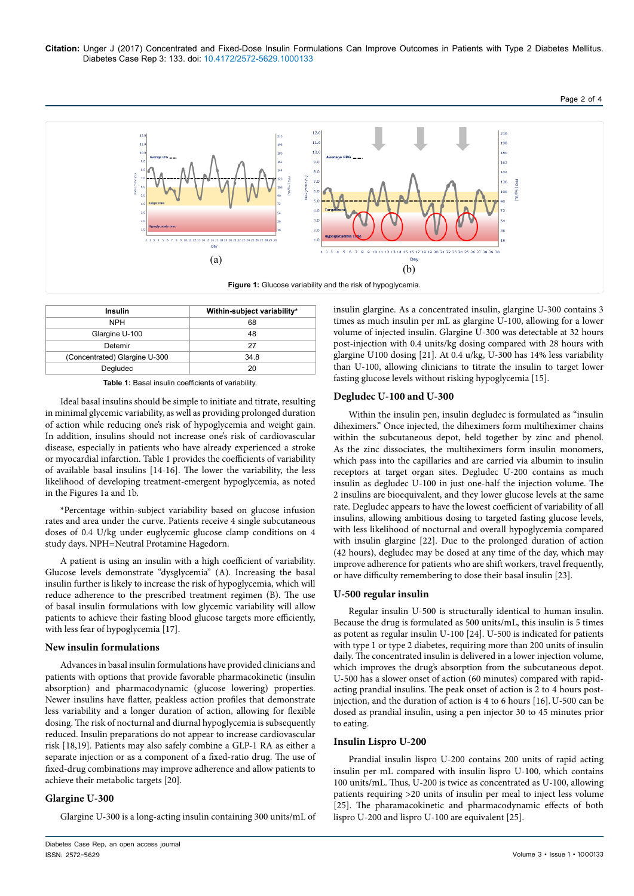**Citation:** Unger J (2017) Concentrated and Fixed-Dose Insulin Formulations Can Improve Outcomes in Patients with Type 2 Diabetes Mellitus. Diabetes Case Rep 3: 133. doi: 10.4172/2572-5629.1000133



| <b>Insulin</b>                | Within-subject variability* |
|-------------------------------|-----------------------------|
| <b>NPH</b>                    | 68                          |
| Glargine U-100                | 48                          |
| Detemir                       | 27                          |
| (Concentrated) Glargine U-300 | 34.8                        |
| Degludec                      |                             |

**Table 1:** Basal insulin coefficients of variability.

Ideal basal insulins should be simple to initiate and titrate, resulting in minimal glycemic variability, as well as providing prolonged duration of action while reducing one's risk of hypoglycemia and weight gain. In addition, insulins should not increase one's risk of cardiovascular disease, especially in patients who have already experienced a stroke or myocardial infarction. Table 1 provides the coefficients of variability of available basal insulins [14-16]. The lower the variability, the less likelihood of developing treatment-emergent hypoglycemia, as noted in the Figures 1a and 1b.

\*Percentage within-subject variability based on glucose infusion rates and area under the curve. Patients receive 4 single subcutaneous doses of 0.4 U/kg under euglycemic glucose clamp conditions on 4 study days. NPH=Neutral Protamine Hagedorn.

A patient is using an insulin with a high coefficient of variability. Glucose levels demonstrate "dysglycemia" (A). Increasing the basal insulin further is likely to increase the risk of hypoglycemia, which will reduce adherence to the prescribed treatment regimen (B). The use of basal insulin formulations with low glycemic variability will allow patients to achieve their fasting blood glucose targets more efficiently, with less fear of hypoglycemia [17].

## **New insulin formulations**

Advances in basal insulin formulations have provided clinicians and patients with options that provide favorable pharmacokinetic (insulin absorption) and pharmacodynamic (glucose lowering) properties. Newer insulins have flatter, peakless action profiles that demonstrate less variability and a longer duration of action, allowing for flexible dosing. The risk of nocturnal and diurnal hypoglycemia is subsequently reduced. Insulin preparations do not appear to increase cardiovascular risk [18,19]. Patients may also safely combine a GLP-1 RA as either a separate injection or as a component of a fixed-ratio drug. The use of fixed-drug combinations may improve adherence and allow patients to achieve their metabolic targets [20].

## **Glargine U-300**

Glargine U-300 is a long-acting insulin containing 300 units/mL of

insulin glargine. As a concentrated insulin, glargine U-300 contains 3 times as much insulin per mL as glargine U-100, allowing for a lower volume of injected insulin. Glargine U-300 was detectable at 32 hours post-injection with 0.4 units/kg dosing compared with 28 hours with glargine U100 dosing [21]. At 0.4 u/kg, U-300 has 14% less variability than U-100, allowing clinicians to titrate the insulin to target lower fasting glucose levels without risking hypoglycemia [15].

Page 2 of 4

#### **Degludec U-100 and U-300**

Within the insulin pen, insulin degludec is formulated as "insulin diheximers." Once injected, the diheximers form multiheximer chains within the subcutaneous depot, held together by zinc and phenol. As the zinc dissociates, the multiheximers form insulin monomers, which pass into the capillaries and are carried via albumin to insulin receptors at target organ sites. Degludec U-200 contains as much insulin as degludec U-100 in just one-half the injection volume. The 2 insulins are bioequivalent, and they lower glucose levels at the same rate. Degludec appears to have the lowest coefficient of variability of all insulins, allowing ambitious dosing to targeted fasting glucose levels, with less likelihood of nocturnal and overall hypoglycemia compared with insulin glargine [22]. Due to the prolonged duration of action (42 hours), degludec may be dosed at any time of the day, which may improve adherence for patients who are shift workers, travel frequently, or have difficulty remembering to dose their basal insulin [23].

#### **U-500 regular insulin**

Regular insulin U-500 is structurally identical to human insulin. Because the drug is formulated as 500 units/mL, this insulin is 5 times as potent as regular insulin U-100 [24]. U-500 is indicated for patients with type 1 or type 2 diabetes, requiring more than 200 units of insulin daily. The concentrated insulin is delivered in a lower injection volume, which improves the drug's absorption from the subcutaneous depot. U-500 has a slower onset of action (60 minutes) compared with rapidacting prandial insulins. The peak onset of action is 2 to 4 hours postinjection, and the duration of action is 4 to 6 hours [16].U-500 can be dosed as prandial insulin, using a pen injector 30 to 45 minutes prior to eating.

#### **Insulin Lispro U-200**

Prandial insulin lispro U-200 contains 200 units of rapid acting insulin per mL compared with insulin lispro U-100, which contains 100 units/mL. Thus, U-200 is twice as concentrated as U-100, allowing patients requiring >20 units of insulin per meal to inject less volume [25]. The pharamacokinetic and pharmacodynamic effects of both lispro U-200 and lispro U-100 are equivalent [25].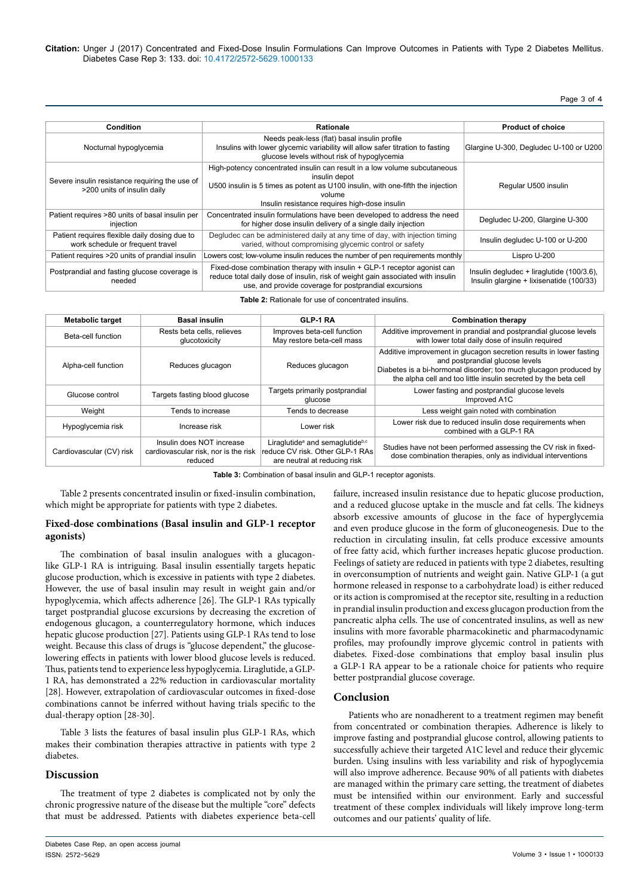## Page 3 of 4

| Condition                                                                         | <b>Rationale</b>                                                                                                                                                                                                                         | <b>Product of choice</b>                                                              |
|-----------------------------------------------------------------------------------|------------------------------------------------------------------------------------------------------------------------------------------------------------------------------------------------------------------------------------------|---------------------------------------------------------------------------------------|
| Nocturnal hypoglycemia                                                            | Needs peak-less (flat) basal insulin profile<br>Insulins with lower glycemic variability will allow safer titration to fasting<br>glucose levels without risk of hypoglycemia                                                            | Glargine U-300, Degludec U-100 or U200                                                |
| Severe insulin resistance requiring the use of<br>>200 units of insulin daily     | High-potency concentrated insulin can result in a low volume subcutaneous<br>insulin depot<br>U500 insulin is 5 times as potent as U100 insulin, with one-fifth the injection<br>volume<br>Insulin resistance requires high-dose insulin | Regular U500 insulin                                                                  |
| Patient requires >80 units of basal insulin per<br>injection                      | Concentrated insulin formulations have been developed to address the need<br>for higher dose insulin delivery of a single daily injection                                                                                                | Degludec U-200, Glargine U-300                                                        |
| Patient requires flexible daily dosing due to<br>work schedule or frequent travel | Degludec can be administered daily at any time of day, with injection timing<br>varied, without compromising glycemic control or safety                                                                                                  | Insulin degludec U-100 or U-200                                                       |
| Patient requires >20 units of prandial insulin                                    | Lowers cost; low-volume insulin reduces the number of pen requirements monthly                                                                                                                                                           | Lispro U-200                                                                          |
| Postprandial and fasting glucose coverage is<br>needed                            | Fixed-dose combination therapy with insulin + GLP-1 receptor agonist can<br>reduce total daily dose of insulin, risk of weight gain associated with insulin<br>use, and provide coverage for postprandial excursions                     | Insulin degludec + liraglutide (100/3.6),<br>Insulin glargine + lixisenatide (100/33) |

**Table 2:** Rationale for use of concentrated insulins.

| <b>Metabolic target</b>  | <b>Basal insulin</b>                                                         | GLP-1 RA                                                                                                       | <b>Combination therapy</b>                                                                                                                                                                                                                     |
|--------------------------|------------------------------------------------------------------------------|----------------------------------------------------------------------------------------------------------------|------------------------------------------------------------------------------------------------------------------------------------------------------------------------------------------------------------------------------------------------|
| Beta-cell function       | Rests beta cells, relieves<br>glucotoxicity                                  | Improves beta-cell function<br>May restore beta-cell mass                                                      | Additive improvement in prandial and postprandial glucose levels<br>with lower total daily dose of insulin required                                                                                                                            |
| Alpha-cell function      | Reduces glucagon                                                             | Reduces glucagon                                                                                               | Additive improvement in glucagon secretion results in lower fasting<br>and postprandial glucose levels<br>Diabetes is a bi-hormonal disorder; too much glucagon produced by<br>the alpha cell and too little insulin secreted by the beta cell |
| Glucose control          | Targets fasting blood glucose                                                | Targets primarily postprandial<br>glucose                                                                      | Lower fasting and postprandial glucose levels<br>Improved A1C                                                                                                                                                                                  |
| Weight                   | Tends to increase                                                            | Tends to decrease                                                                                              | Less weight gain noted with combination                                                                                                                                                                                                        |
| Hypoglycemia risk        | Increase risk                                                                | Lower risk                                                                                                     | Lower risk due to reduced insulin dose requirements when<br>combined with a GLP-1 RA                                                                                                                                                           |
| Cardiovascular (CV) risk | Insulin does NOT increase<br>cardiovascular risk, nor is the risk<br>reduced | Liraglutide <sup>a</sup> and semaglutideb,c<br>reduce CV risk. Other GLP-1 RAs<br>are neutral at reducing risk | Studies have not been performed assessing the CV risk in fixed-<br>dose combination therapies, only as individual interventions                                                                                                                |

**Table 3:** Combination of basal insulin and GLP-1 receptor agonists.

Table 2 presents concentrated insulin or fixed-insulin combination, which might be appropriate for patients with type 2 diabetes.

# **Fixed-dose combinations (Basal insulin and GLP-1 receptor agonists)**

The combination of basal insulin analogues with a glucagonlike GLP-1 RA is intriguing. Basal insulin essentially targets hepatic glucose production, which is excessive in patients with type 2 diabetes. However, the use of basal insulin may result in weight gain and/or hypoglycemia, which affects adherence [26]. The GLP-1 RAs typically target postprandial glucose excursions by decreasing the excretion of endogenous glucagon, a counterregulatory hormone, which induces hepatic glucose production [27]. Patients using GLP-1 RAs tend to lose weight. Because this class of drugs is "glucose dependent," the glucoselowering effects in patients with lower blood glucose levels is reduced. Thus, patients tend to experience less hypoglycemia. Liraglutide, a GLP-1 RA, has demonstrated a 22% reduction in cardiovascular mortality [28]. However, extrapolation of cardiovascular outcomes in fixed-dose combinations cannot be inferred without having trials specific to the dual-therapy option [28-30].

Table 3 lists the features of basal insulin plus GLP-1 RAs, which makes their combination therapies attractive in patients with type 2 diabetes.

## **Discussion**

The treatment of type 2 diabetes is complicated not by only the chronic progressive nature of the disease but the multiple "core" defects that must be addressed. Patients with diabetes experience beta-cell failure, increased insulin resistance due to hepatic glucose production, and a reduced glucose uptake in the muscle and fat cells. The kidneys absorb excessive amounts of glucose in the face of hyperglycemia and even produce glucose in the form of gluconeogenesis. Due to the reduction in circulating insulin, fat cells produce excessive amounts of free fatty acid, which further increases hepatic glucose production. Feelings of satiety are reduced in patients with type 2 diabetes, resulting in overconsumption of nutrients and weight gain. Native GLP-1 (a gut hormone released in response to a carbohydrate load) is either reduced or its action is compromised at the receptor site, resulting in a reduction in prandial insulin production and excess glucagon production from the pancreatic alpha cells. The use of concentrated insulins, as well as new insulins with more favorable pharmacokinetic and pharmacodynamic profiles, may profoundly improve glycemic control in patients with diabetes. Fixed-dose combinations that employ basal insulin plus a GLP-1 RA appear to be a rationale choice for patients who require better postprandial glucose coverage.

## **Conclusion**

Patients who are nonadherent to a treatment regimen may benefit from concentrated or combination therapies. Adherence is likely to improve fasting and postprandial glucose control, allowing patients to successfully achieve their targeted A1C level and reduce their glycemic burden. Using insulins with less variability and risk of hypoglycemia will also improve adherence. Because 90% of all patients with diabetes are managed within the primary care setting, the treatment of diabetes must be intensified within our environment. Early and successful treatment of these complex individuals will likely improve long-term outcomes and our patients' quality of life.